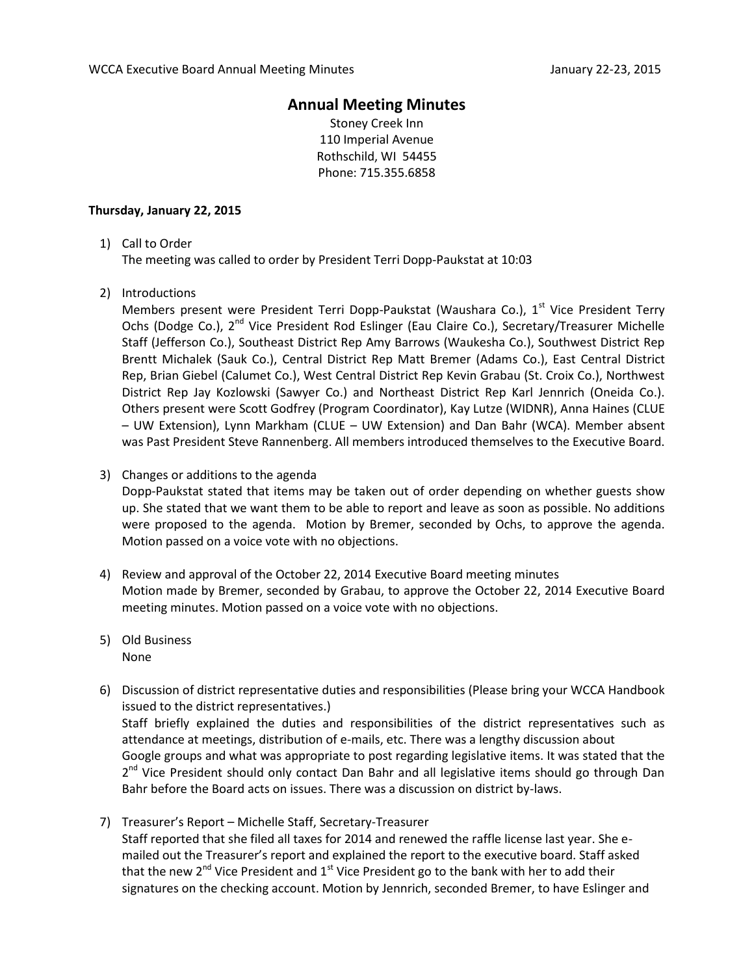## **Annual Meeting Minutes**

Stoney Creek Inn 110 Imperial Avenue Rothschild, WI 54455 Phone: 715.355.6858

## **Thursday, January 22, 2015**

1) Call to Order

The meeting was called to order by President Terri Dopp-Paukstat at 10:03

2) Introductions

Members present were President Terri Dopp-Paukstat (Waushara Co.),  $1^{st}$  Vice President Terry Ochs (Dodge Co.), 2<sup>nd</sup> Vice President Rod Eslinger (Eau Claire Co.), Secretary/Treasurer Michelle Staff (Jefferson Co.), Southeast District Rep Amy Barrows (Waukesha Co.), Southwest District Rep Brentt Michalek (Sauk Co.), Central District Rep Matt Bremer (Adams Co.), East Central District Rep, Brian Giebel (Calumet Co.), West Central District Rep Kevin Grabau (St. Croix Co.), Northwest District Rep Jay Kozlowski (Sawyer Co.) and Northeast District Rep Karl Jennrich (Oneida Co.). Others present were Scott Godfrey (Program Coordinator), Kay Lutze (WIDNR), Anna Haines (CLUE – UW Extension), Lynn Markham (CLUE – UW Extension) and Dan Bahr (WCA). Member absent was Past President Steve Rannenberg. All members introduced themselves to the Executive Board.

## 3) Changes or additions to the agenda

Dopp-Paukstat stated that items may be taken out of order depending on whether guests show up. She stated that we want them to be able to report and leave as soon as possible. No additions were proposed to the agenda. Motion by Bremer, seconded by Ochs, to approve the agenda. Motion passed on a voice vote with no objections.

- 4) Review and approval of the October 22, 2014 Executive Board meeting minutes Motion made by Bremer, seconded by Grabau, to approve the October 22, 2014 Executive Board meeting minutes. Motion passed on a voice vote with no objections.
- 5) Old Business None
- 6) Discussion of district representative duties and responsibilities (Please bring your WCCA Handbook issued to the district representatives.) Staff briefly explained the duties and responsibilities of the district representatives such as attendance at meetings, distribution of e-mails, etc. There was a lengthy discussion about Google groups and what was appropriate to post regarding legislative items. It was stated that the 2<sup>nd</sup> Vice President should only contact Dan Bahr and all legislative items should go through Dan Bahr before the Board acts on issues. There was a discussion on district by-laws.
- 7) Treasurer's Report Michelle Staff, Secretary-Treasurer Staff reported that she filed all taxes for 2014 and renewed the raffle license last year. She emailed out the Treasurer's report and explained the report to the executive board. Staff asked that the new  $2^{nd}$  Vice President and  $1^{st}$  Vice President go to the bank with her to add their signatures on the checking account. Motion by Jennrich, seconded Bremer, to have Eslinger and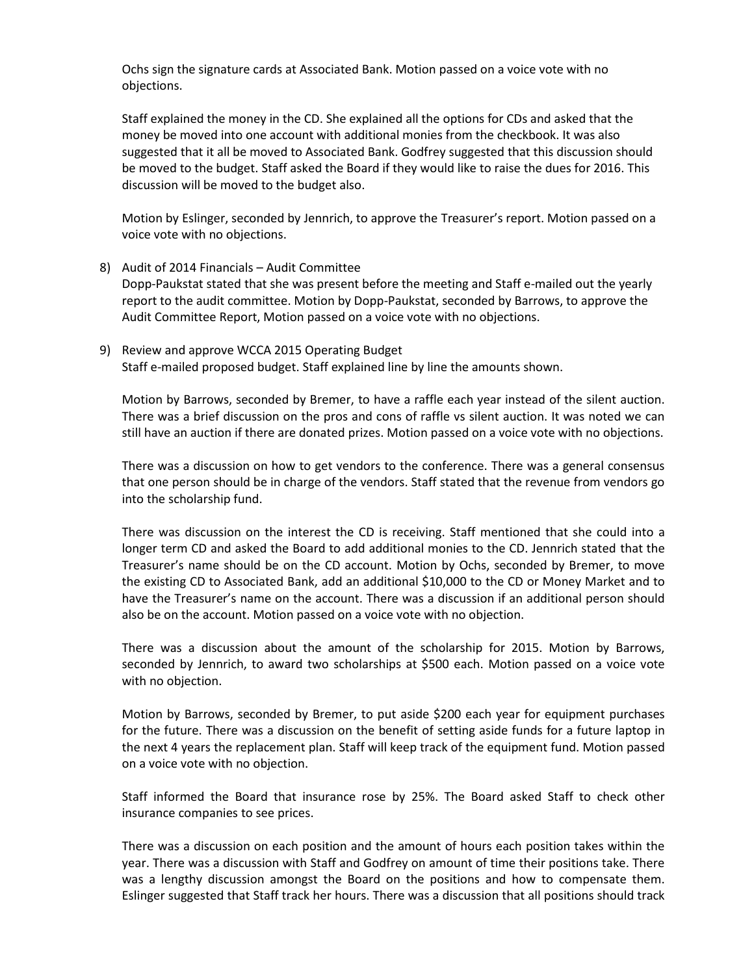Ochs sign the signature cards at Associated Bank. Motion passed on a voice vote with no objections.

Staff explained the money in the CD. She explained all the options for CDs and asked that the money be moved into one account with additional monies from the checkbook. It was also suggested that it all be moved to Associated Bank. Godfrey suggested that this discussion should be moved to the budget. Staff asked the Board if they would like to raise the dues for 2016. This discussion will be moved to the budget also.

Motion by Eslinger, seconded by Jennrich, to approve the Treasurer's report. Motion passed on a voice vote with no objections.

- 8) Audit of 2014 Financials Audit Committee Dopp-Paukstat stated that she was present before the meeting and Staff e-mailed out the yearly report to the audit committee. Motion by Dopp-Paukstat, seconded by Barrows, to approve the Audit Committee Report, Motion passed on a voice vote with no objections.
- 9) Review and approve WCCA 2015 Operating Budget Staff e-mailed proposed budget. Staff explained line by line the amounts shown.

Motion by Barrows, seconded by Bremer, to have a raffle each year instead of the silent auction. There was a brief discussion on the pros and cons of raffle vs silent auction. It was noted we can still have an auction if there are donated prizes. Motion passed on a voice vote with no objections.

There was a discussion on how to get vendors to the conference. There was a general consensus that one person should be in charge of the vendors. Staff stated that the revenue from vendors go into the scholarship fund.

There was discussion on the interest the CD is receiving. Staff mentioned that she could into a longer term CD and asked the Board to add additional monies to the CD. Jennrich stated that the Treasurer's name should be on the CD account. Motion by Ochs, seconded by Bremer, to move the existing CD to Associated Bank, add an additional \$10,000 to the CD or Money Market and to have the Treasurer's name on the account. There was a discussion if an additional person should also be on the account. Motion passed on a voice vote with no objection.

There was a discussion about the amount of the scholarship for 2015. Motion by Barrows, seconded by Jennrich, to award two scholarships at \$500 each. Motion passed on a voice vote with no objection.

Motion by Barrows, seconded by Bremer, to put aside \$200 each year for equipment purchases for the future. There was a discussion on the benefit of setting aside funds for a future laptop in the next 4 years the replacement plan. Staff will keep track of the equipment fund. Motion passed on a voice vote with no objection.

Staff informed the Board that insurance rose by 25%. The Board asked Staff to check other insurance companies to see prices.

There was a discussion on each position and the amount of hours each position takes within the year. There was a discussion with Staff and Godfrey on amount of time their positions take. There was a lengthy discussion amongst the Board on the positions and how to compensate them. Eslinger suggested that Staff track her hours. There was a discussion that all positions should track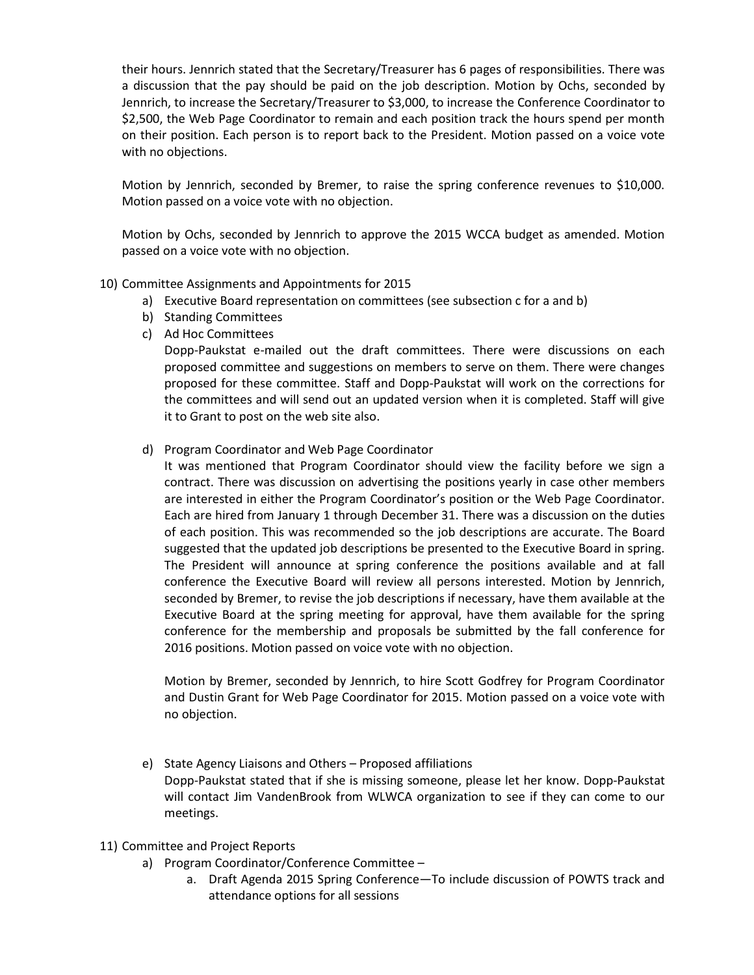their hours. Jennrich stated that the Secretary/Treasurer has 6 pages of responsibilities. There was a discussion that the pay should be paid on the job description. Motion by Ochs, seconded by Jennrich, to increase the Secretary/Treasurer to \$3,000, to increase the Conference Coordinator to \$2,500, the Web Page Coordinator to remain and each position track the hours spend per month on their position. Each person is to report back to the President. Motion passed on a voice vote with no objections.

Motion by Jennrich, seconded by Bremer, to raise the spring conference revenues to \$10,000. Motion passed on a voice vote with no objection.

Motion by Ochs, seconded by Jennrich to approve the 2015 WCCA budget as amended. Motion passed on a voice vote with no objection.

- 10) Committee Assignments and Appointments for 2015
	- a) Executive Board representation on committees (see subsection c for a and b)
	- b) Standing Committees
	- c) Ad Hoc Committees

Dopp-Paukstat e-mailed out the draft committees. There were discussions on each proposed committee and suggestions on members to serve on them. There were changes proposed for these committee. Staff and Dopp-Paukstat will work on the corrections for the committees and will send out an updated version when it is completed. Staff will give it to Grant to post on the web site also.

- d) Program Coordinator and Web Page Coordinator
	- It was mentioned that Program Coordinator should view the facility before we sign a contract. There was discussion on advertising the positions yearly in case other members are interested in either the Program Coordinator's position or the Web Page Coordinator. Each are hired from January 1 through December 31. There was a discussion on the duties of each position. This was recommended so the job descriptions are accurate. The Board suggested that the updated job descriptions be presented to the Executive Board in spring. The President will announce at spring conference the positions available and at fall conference the Executive Board will review all persons interested. Motion by Jennrich, seconded by Bremer, to revise the job descriptions if necessary, have them available at the Executive Board at the spring meeting for approval, have them available for the spring conference for the membership and proposals be submitted by the fall conference for 2016 positions. Motion passed on voice vote with no objection.

Motion by Bremer, seconded by Jennrich, to hire Scott Godfrey for Program Coordinator and Dustin Grant for Web Page Coordinator for 2015. Motion passed on a voice vote with no objection.

- e) State Agency Liaisons and Others Proposed affiliations Dopp-Paukstat stated that if she is missing someone, please let her know. Dopp-Paukstat will contact Jim VandenBrook from WLWCA organization to see if they can come to our meetings.
- 11) Committee and Project Reports
	- a) Program Coordinator/Conference Committee
		- a. Draft Agenda 2015 Spring Conference—To include discussion of POWTS track and attendance options for all sessions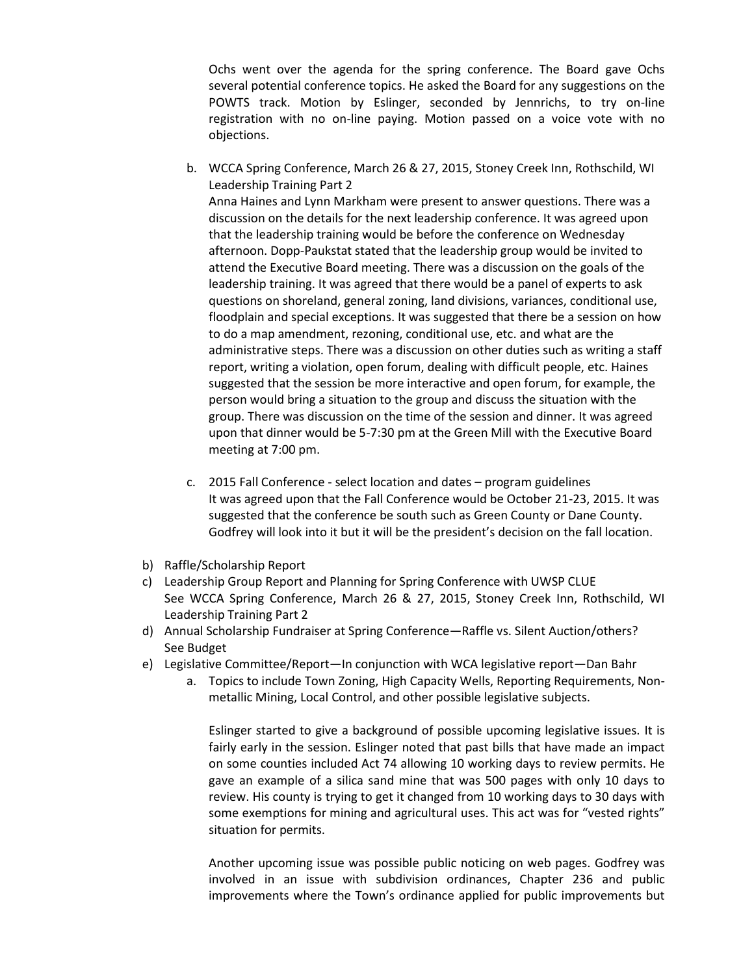Ochs went over the agenda for the spring conference. The Board gave Ochs several potential conference topics. He asked the Board for any suggestions on the POWTS track. Motion by Eslinger, seconded by Jennrichs, to try on-line registration with no on-line paying. Motion passed on a voice vote with no objections.

- b. WCCA Spring Conference, March 26 & 27, 2015, Stoney Creek Inn, Rothschild, WI Leadership Training Part 2 Anna Haines and Lynn Markham were present to answer questions. There was a discussion on the details for the next leadership conference. It was agreed upon that the leadership training would be before the conference on Wednesday afternoon. Dopp-Paukstat stated that the leadership group would be invited to attend the Executive Board meeting. There was a discussion on the goals of the leadership training. It was agreed that there would be a panel of experts to ask questions on shoreland, general zoning, land divisions, variances, conditional use, floodplain and special exceptions. It was suggested that there be a session on how to do a map amendment, rezoning, conditional use, etc. and what are the administrative steps. There was a discussion on other duties such as writing a staff report, writing a violation, open forum, dealing with difficult people, etc. Haines suggested that the session be more interactive and open forum, for example, the person would bring a situation to the group and discuss the situation with the group. There was discussion on the time of the session and dinner. It was agreed upon that dinner would be 5-7:30 pm at the Green Mill with the Executive Board meeting at 7:00 pm.
- c. 2015 Fall Conference select location and dates program guidelines It was agreed upon that the Fall Conference would be October 21-23, 2015. It was suggested that the conference be south such as Green County or Dane County. Godfrey will look into it but it will be the president's decision on the fall location.
- b) Raffle/Scholarship Report
- c) Leadership Group Report and Planning for Spring Conference with UWSP CLUE See WCCA Spring Conference, March 26 & 27, 2015, Stoney Creek Inn, Rothschild, WI Leadership Training Part 2
- d) Annual Scholarship Fundraiser at Spring Conference—Raffle vs. Silent Auction/others? See Budget
- e) Legislative Committee/Report—In conjunction with WCA legislative report—Dan Bahr
	- a. Topics to include Town Zoning, High Capacity Wells, Reporting Requirements, Nonmetallic Mining, Local Control, and other possible legislative subjects.

Eslinger started to give a background of possible upcoming legislative issues. It is fairly early in the session. Eslinger noted that past bills that have made an impact on some counties included Act 74 allowing 10 working days to review permits. He gave an example of a silica sand mine that was 500 pages with only 10 days to review. His county is trying to get it changed from 10 working days to 30 days with some exemptions for mining and agricultural uses. This act was for "vested rights" situation for permits.

Another upcoming issue was possible public noticing on web pages. Godfrey was involved in an issue with subdivision ordinances, Chapter 236 and public improvements where the Town's ordinance applied for public improvements but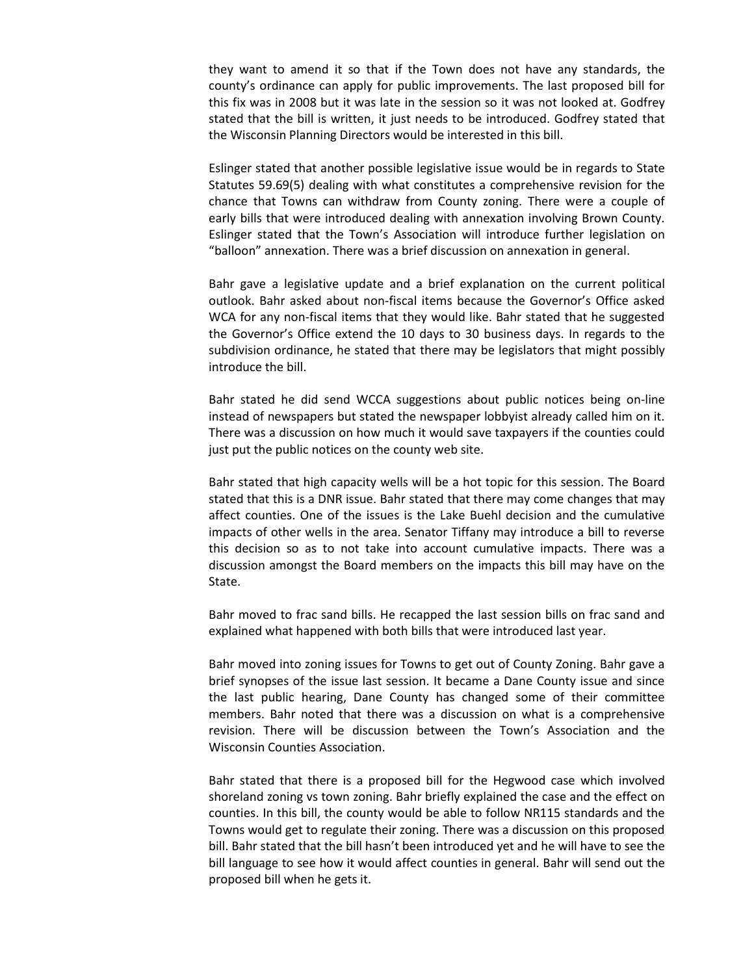they want to amend it so that if the Town does not have any standards, the county's ordinance can apply for public improvements. The last proposed bill for this fix was in 2008 but it was late in the session so it was not looked at. Godfrey stated that the bill is written, it just needs to be introduced. Godfrey stated that the Wisconsin Planning Directors would be interested in this bill.

Eslinger stated that another possible legislative issue would be in regards to State Statutes 59.69(5) dealing with what constitutes a comprehensive revision for the chance that Towns can withdraw from County zoning. There were a couple of early bills that were introduced dealing with annexation involving Brown County. Eslinger stated that the Town's Association will introduce further legislation on "balloon" annexation. There was a brief discussion on annexation in general.

Bahr gave a legislative update and a brief explanation on the current political outlook. Bahr asked about non-fiscal items because the Governor's Office asked WCA for any non-fiscal items that they would like. Bahr stated that he suggested the Governor's Office extend the 10 days to 30 business days. In regards to the subdivision ordinance, he stated that there may be legislators that might possibly introduce the bill.

Bahr stated he did send WCCA suggestions about public notices being on-line instead of newspapers but stated the newspaper lobbyist already called him on it. There was a discussion on how much it would save taxpayers if the counties could just put the public notices on the county web site.

Bahr stated that high capacity wells will be a hot topic for this session. The Board stated that this is a DNR issue. Bahr stated that there may come changes that may affect counties. One of the issues is the Lake Buehl decision and the cumulative impacts of other wells in the area. Senator Tiffany may introduce a bill to reverse this decision so as to not take into account cumulative impacts. There was a discussion amongst the Board members on the impacts this bill may have on the State.

Bahr moved to frac sand bills. He recapped the last session bills on frac sand and explained what happened with both bills that were introduced last year.

Bahr moved into zoning issues for Towns to get out of County Zoning. Bahr gave a brief synopses of the issue last session. It became a Dane County issue and since the last public hearing, Dane County has changed some of their committee members. Bahr noted that there was a discussion on what is a comprehensive revision. There will be discussion between the Town's Association and the Wisconsin Counties Association.

Bahr stated that there is a proposed bill for the Hegwood case which involved shoreland zoning vs town zoning. Bahr briefly explained the case and the effect on counties. In this bill, the county would be able to follow NR115 standards and the Towns would get to regulate their zoning. There was a discussion on this proposed bill. Bahr stated that the bill hasn't been introduced yet and he will have to see the bill language to see how it would affect counties in general. Bahr will send out the proposed bill when he gets it.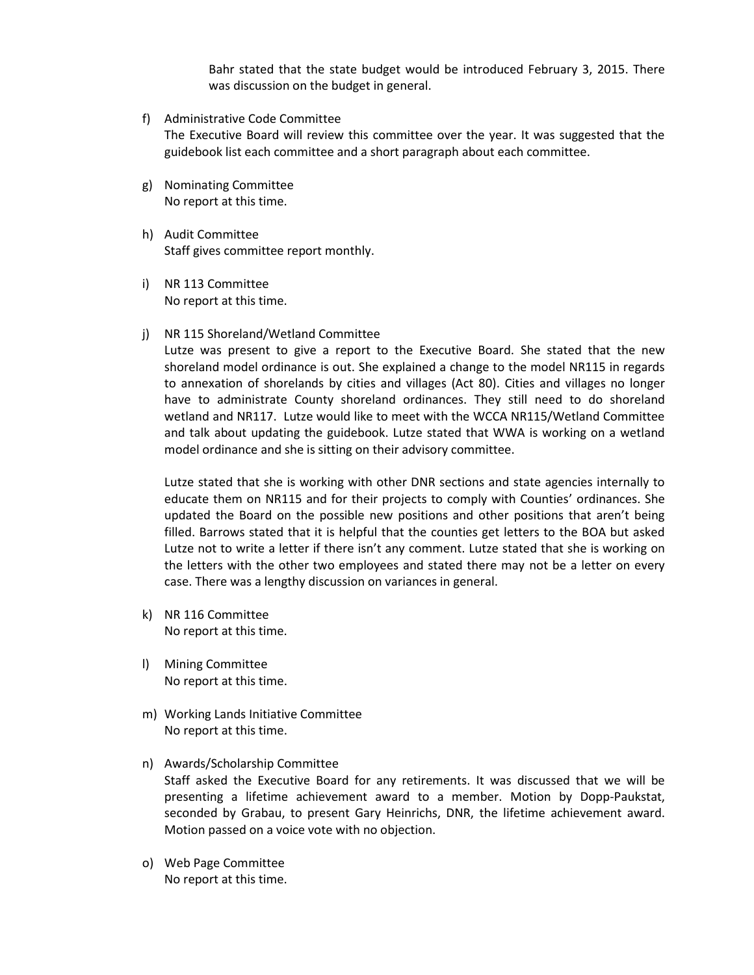Bahr stated that the state budget would be introduced February 3, 2015. There was discussion on the budget in general.

- f) Administrative Code Committee The Executive Board will review this committee over the year. It was suggested that the guidebook list each committee and a short paragraph about each committee.
- g) Nominating Committee No report at this time.
- h) Audit Committee Staff gives committee report monthly.
- i) NR 113 Committee No report at this time.
- j) NR 115 Shoreland/Wetland Committee

Lutze was present to give a report to the Executive Board. She stated that the new shoreland model ordinance is out. She explained a change to the model NR115 in regards to annexation of shorelands by cities and villages (Act 80). Cities and villages no longer have to administrate County shoreland ordinances. They still need to do shoreland wetland and NR117. Lutze would like to meet with the WCCA NR115/Wetland Committee and talk about updating the guidebook. Lutze stated that WWA is working on a wetland model ordinance and she is sitting on their advisory committee.

Lutze stated that she is working with other DNR sections and state agencies internally to educate them on NR115 and for their projects to comply with Counties' ordinances. She updated the Board on the possible new positions and other positions that aren't being filled. Barrows stated that it is helpful that the counties get letters to the BOA but asked Lutze not to write a letter if there isn't any comment. Lutze stated that she is working on the letters with the other two employees and stated there may not be a letter on every case. There was a lengthy discussion on variances in general.

- k) NR 116 Committee No report at this time.
- l) Mining Committee No report at this time.
- m) Working Lands Initiative Committee No report at this time.
- n) Awards/Scholarship Committee Staff asked the Executive Board for any retirements. It was discussed that we will be presenting a lifetime achievement award to a member. Motion by Dopp-Paukstat, seconded by Grabau, to present Gary Heinrichs, DNR, the lifetime achievement award. Motion passed on a voice vote with no objection.
- o) Web Page Committee No report at this time.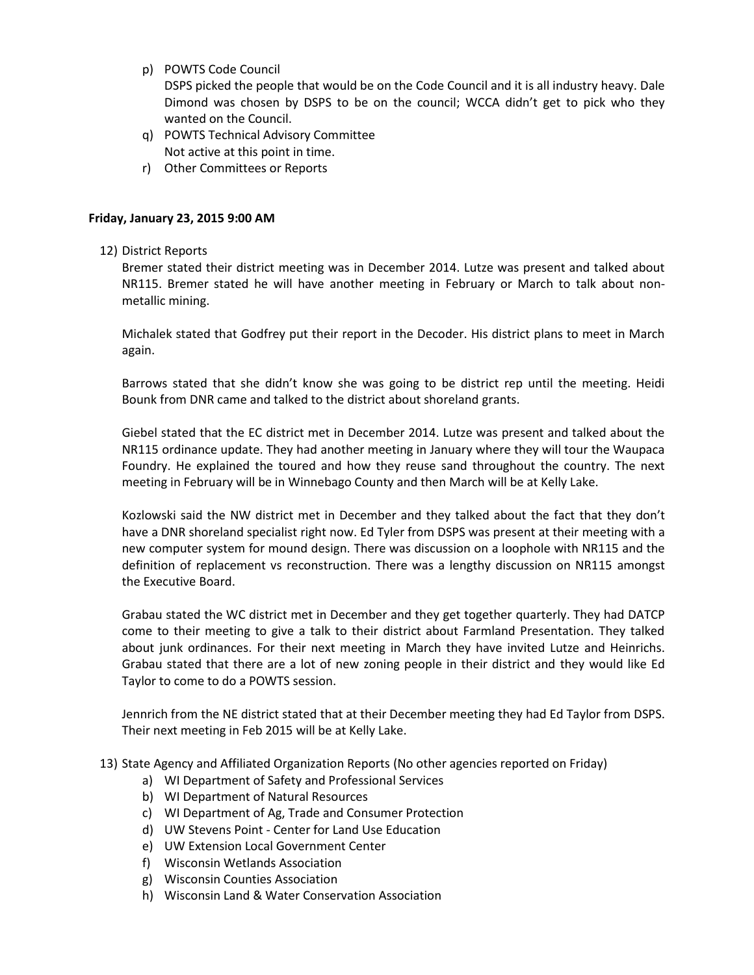p) POWTS Code Council

DSPS picked the people that would be on the Code Council and it is all industry heavy. Dale Dimond was chosen by DSPS to be on the council; WCCA didn't get to pick who they wanted on the Council.

- q) POWTS Technical Advisory Committee Not active at this point in time.
- r) Other Committees or Reports

## **Friday, January 23, 2015 9:00 AM**

12) District Reports

Bremer stated their district meeting was in December 2014. Lutze was present and talked about NR115. Bremer stated he will have another meeting in February or March to talk about nonmetallic mining.

Michalek stated that Godfrey put their report in the Decoder. His district plans to meet in March again.

Barrows stated that she didn't know she was going to be district rep until the meeting. Heidi Bounk from DNR came and talked to the district about shoreland grants.

Giebel stated that the EC district met in December 2014. Lutze was present and talked about the NR115 ordinance update. They had another meeting in January where they will tour the Waupaca Foundry. He explained the toured and how they reuse sand throughout the country. The next meeting in February will be in Winnebago County and then March will be at Kelly Lake.

Kozlowski said the NW district met in December and they talked about the fact that they don't have a DNR shoreland specialist right now. Ed Tyler from DSPS was present at their meeting with a new computer system for mound design. There was discussion on a loophole with NR115 and the definition of replacement vs reconstruction. There was a lengthy discussion on NR115 amongst the Executive Board.

Grabau stated the WC district met in December and they get together quarterly. They had DATCP come to their meeting to give a talk to their district about Farmland Presentation. They talked about junk ordinances. For their next meeting in March they have invited Lutze and Heinrichs. Grabau stated that there are a lot of new zoning people in their district and they would like Ed Taylor to come to do a POWTS session.

Jennrich from the NE district stated that at their December meeting they had Ed Taylor from DSPS. Their next meeting in Feb 2015 will be at Kelly Lake.

- 13) State Agency and Affiliated Organization Reports (No other agencies reported on Friday)
	- a) WI Department of Safety and Professional Services
	- b) WI Department of Natural Resources
	- c) WI Department of Ag, Trade and Consumer Protection
	- d) UW Stevens Point Center for Land Use Education
	- e) UW Extension Local Government Center
	- f) Wisconsin Wetlands Association
	- g) Wisconsin Counties Association
	- h) Wisconsin Land & Water Conservation Association